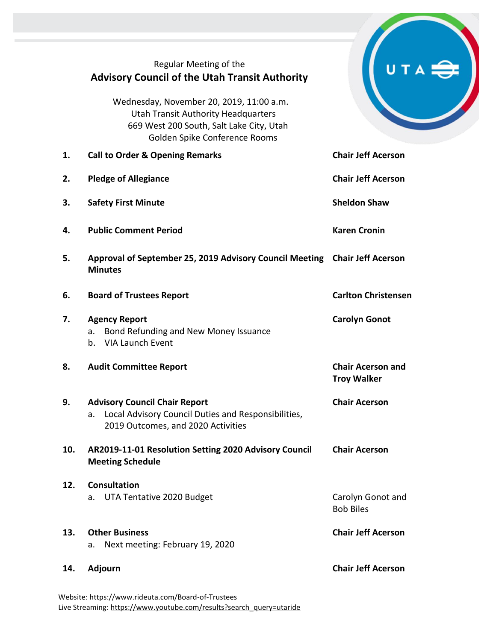|     | Regular Meeting of the<br><b>Advisory Council of the Utah Transit Authority</b>                                                                                     |                                                |
|-----|---------------------------------------------------------------------------------------------------------------------------------------------------------------------|------------------------------------------------|
|     | Wednesday, November 20, 2019, 11:00 a.m.<br><b>Utah Transit Authority Headquarters</b><br>669 West 200 South, Salt Lake City, Utah<br>Golden Spike Conference Rooms |                                                |
| 1.  | <b>Call to Order &amp; Opening Remarks</b>                                                                                                                          | <b>Chair Jeff Acerson</b>                      |
| 2.  | <b>Pledge of Allegiance</b>                                                                                                                                         | <b>Chair Jeff Acerson</b>                      |
| 3.  | <b>Safety First Minute</b>                                                                                                                                          | <b>Sheldon Shaw</b>                            |
| 4.  | <b>Public Comment Period</b>                                                                                                                                        | <b>Karen Cronin</b>                            |
| 5.  | Approval of September 25, 2019 Advisory Council Meeting Chair Jeff Acerson<br><b>Minutes</b>                                                                        |                                                |
| 6.  | <b>Board of Trustees Report</b>                                                                                                                                     | <b>Carlton Christensen</b>                     |
| 7.  | <b>Agency Report</b><br>Bond Refunding and New Money Issuance<br>a.<br><b>VIA Launch Event</b><br>b.                                                                | <b>Carolyn Gonot</b>                           |
| 8.  | <b>Audit Committee Report</b>                                                                                                                                       | <b>Chair Acerson and</b><br><b>Troy Walker</b> |
| 9.  | <b>Advisory Council Chair Report</b><br>Local Advisory Council Duties and Responsibilities,<br>a.<br>2019 Outcomes, and 2020 Activities                             | <b>Chair Acerson</b>                           |
| 10. | AR2019-11-01 Resolution Setting 2020 Advisory Council<br><b>Meeting Schedule</b>                                                                                    | <b>Chair Acerson</b>                           |
| 12. | <b>Consultation</b><br>UTA Tentative 2020 Budget<br>a.                                                                                                              | Carolyn Gonot and                              |
|     |                                                                                                                                                                     | <b>Bob Biles</b>                               |
| 13. | <b>Other Business</b><br>Next meeting: February 19, 2020<br>a.                                                                                                      | <b>Chair Jeff Acerson</b>                      |
| 14. | <b>Adjourn</b>                                                                                                                                                      | <b>Chair Jeff Acerson</b>                      |

Website[: https://www.rideuta.com/Board-of-Trustees](https://www.rideuta.com/Board-of-Trustees)  Live Streaming[: https://www.youtube.com/results?search\\_query=utaride](https://www.youtube.com/results?search_query=utaride)